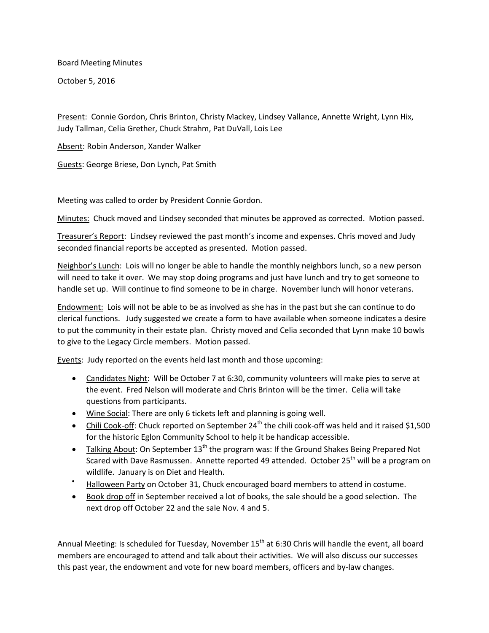Board Meeting Minutes

October 5, 2016

Present: Connie Gordon, Chris Brinton, Christy Mackey, Lindsey Vallance, Annette Wright, Lynn Hix, Judy Tallman, Celia Grether, Chuck Strahm, Pat DuVall, Lois Lee

Absent: Robin Anderson, Xander Walker

Guests: George Briese, Don Lynch, Pat Smith

Meeting was called to order by President Connie Gordon.

Minutes: Chuck moved and Lindsey seconded that minutes be approved as corrected. Motion passed.

Treasurer's Report: Lindsey reviewed the past month's income and expenses. Chris moved and Judy seconded financial reports be accepted as presented. Motion passed.

Neighbor's Lunch: Lois will no longer be able to handle the monthly neighbors lunch, so a new person will need to take it over. We may stop doing programs and just have lunch and try to get someone to handle set up. Will continue to find someone to be in charge. November lunch will honor veterans.

Endowment: Lois will not be able to be as involved as she has in the past but she can continue to do clerical functions. Judy suggested we create a form to have available when someone indicates a desire to put the community in their estate plan. Christy moved and Celia seconded that Lynn make 10 bowls to give to the Legacy Circle members. Motion passed.

Events: Judy reported on the events held last month and those upcoming:

- Candidates Night: Will be October 7 at 6:30, community volunteers will make pies to serve at the event. Fred Nelson will moderate and Chris Brinton will be the timer. Celia will take questions from participants.
- Wine Social: There are only 6 tickets left and planning is going well.
- Chili Cook-off: Chuck reported on September  $24^{th}$  the chili cook-off was held and it raised \$1,500 for the historic Eglon Community School to help it be handicap accessible.
- Talking About: On September  $13<sup>th</sup>$  the program was: If the Ground Shakes Being Prepared Not Scared with Dave Rasmussen. Annette reported 49 attended. October 25<sup>th</sup> will be a program on wildlife. January is on Diet and Health.
- Halloween Party on October 31, Chuck encouraged board members to attend in costume.
- **Book drop off in September received a lot of books, the sale should be a good selection.** The next drop off October 22 and the sale Nov. 4 and 5.

Annual Meeting: Is scheduled for Tuesday, November 15<sup>th</sup> at 6:30 Chris will handle the event, all board members are encouraged to attend and talk about their activities. We will also discuss our successes this past year, the endowment and vote for new board members, officers and by-law changes.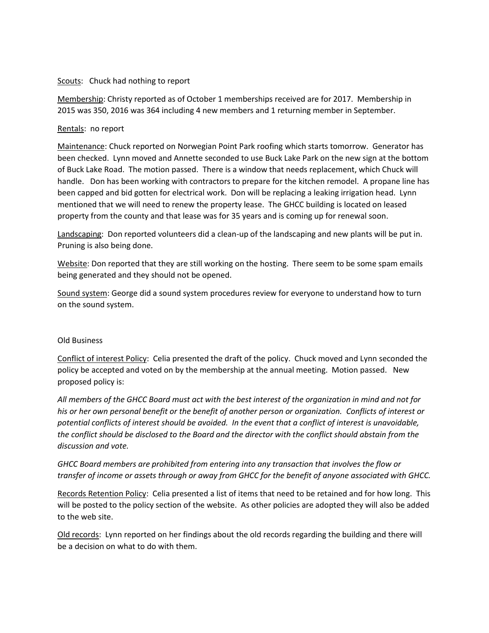## Scouts: Chuck had nothing to report

Membership: Christy reported as of October 1 memberships received are for 2017. Membership in 2015 was 350, 2016 was 364 including 4 new members and 1 returning member in September.

## Rentals: no report

Maintenance: Chuck reported on Norwegian Point Park roofing which starts tomorrow. Generator has been checked. Lynn moved and Annette seconded to use Buck Lake Park on the new sign at the bottom of Buck Lake Road. The motion passed. There is a window that needs replacement, which Chuck will handle. Don has been working with contractors to prepare for the kitchen remodel. A propane line has been capped and bid gotten for electrical work. Don will be replacing a leaking irrigation head. Lynn mentioned that we will need to renew the property lease. The GHCC building is located on leased property from the county and that lease was for 35 years and is coming up for renewal soon.

Landscaping: Don reported volunteers did a clean-up of the landscaping and new plants will be put in. Pruning is also being done.

Website: Don reported that they are still working on the hosting. There seem to be some spam emails being generated and they should not be opened.

Sound system: George did a sound system procedures review for everyone to understand how to turn on the sound system.

## Old Business

Conflict of interest Policy: Celia presented the draft of the policy. Chuck moved and Lynn seconded the policy be accepted and voted on by the membership at the annual meeting. Motion passed. New proposed policy is:

*All members of the GHCC Board must act with the best interest of the organization in mind and not for his or her own personal benefit or the benefit of another person or organization. Conflicts of interest or potential conflicts of interest should be avoided. In the event that a conflict of interest is unavoidable, the conflict should be disclosed to the Board and the director with the conflict should abstain from the discussion and vote.*

*GHCC Board members are prohibited from entering into any transaction that involves the flow or transfer of income or assets through or away from GHCC for the benefit of anyone associated with GHCC.*

Records Retention Policy: Celia presented a list of items that need to be retained and for how long. This will be posted to the policy section of the website. As other policies are adopted they will also be added to the web site.

Old records: Lynn reported on her findings about the old records regarding the building and there will be a decision on what to do with them.